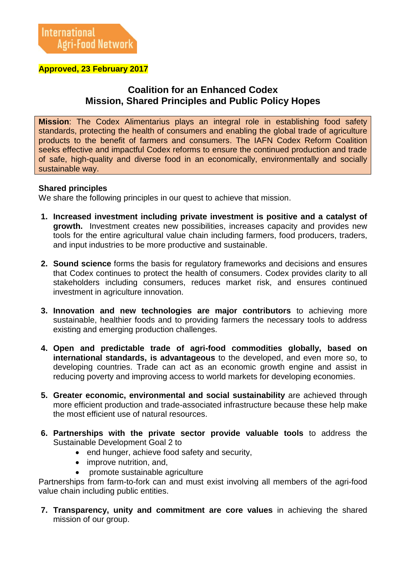**Approved, 23 February 2017**

## **Coalition for an Enhanced Codex Mission, Shared Principles and Public Policy Hopes**

**Mission**: The Codex Alimentarius plays an integral role in establishing food safety standards, protecting the health of consumers and enabling the global trade of agriculture products to the benefit of farmers and consumers. The IAFN Codex Reform Coalition seeks effective and impactful Codex reforms to ensure the continued production and trade of safe, high-quality and diverse food in an economically, environmentally and socially sustainable way.

## **Shared principles**

We share the following principles in our quest to achieve that mission.

- **1. Increased investment including private investment is positive and a catalyst of growth.** Investment creates new possibilities, increases capacity and provides new tools for the entire agricultural value chain including farmers, food producers, traders, and input industries to be more productive and sustainable.
- **2. Sound science** forms the basis for regulatory frameworks and decisions and ensures that Codex continues to protect the health of consumers. Codex provides clarity to all stakeholders including consumers, reduces market risk, and ensures continued investment in agriculture innovation.
- **3. Innovation and new technologies are major contributors** to achieving more sustainable, healthier foods and to providing farmers the necessary tools to address existing and emerging production challenges.
- **4. Open and predictable trade of agri-food commodities globally, based on international standards, is advantageous** to the developed, and even more so, to developing countries. Trade can act as an economic growth engine and assist in reducing poverty and improving access to world markets for developing economies.
- **5. Greater economic, environmental and social sustainability** are achieved through more efficient production and trade-associated infrastructure because these help make the most efficient use of natural resources.
- **6. Partnerships with the private sector provide valuable tools** to address the Sustainable Development Goal 2 to
	- end hunger, achieve food safety and security,
	- improve nutrition, and,
	- promote sustainable agriculture

Partnerships from farm-to-fork can and must exist involving all members of the agri-food value chain including public entities.

**7. Transparency, unity and commitment are core values** in achieving the shared mission of our group.